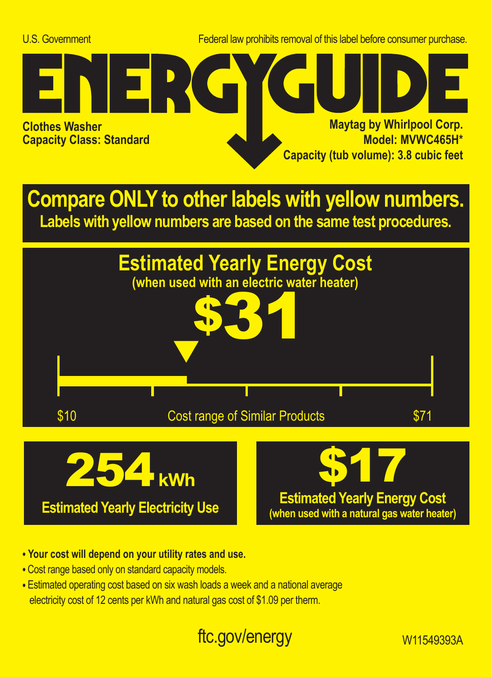U.S. Government Federal law prohibits removal of this label before consumer purchase.



**Compare ONLY to other labels with yellow numbers. Labels with yellow numbers are based on the same test procedures.**



- **Your cost will depend on your utility rates and use.**
- **•** Cost range based only on standard capacity models.
- **•** Estimated operating cost based on six wash loads a week and a national average electricity cost of 12 cents per kWh and natural gas cost of \$1.09 per therm.